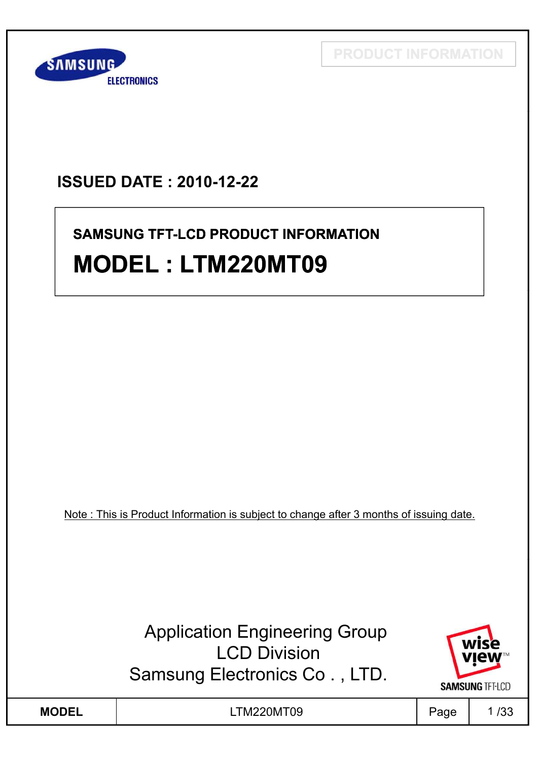**PRODUCT INFORMATION**



## **ISSUED DATE : 2010-12-22**

# **SAMSUNG TFT-LCD PRODUCT INFORMATION MODEL : LTM220MT09**

Note : This is Product Information is subject to change after 3 months of issuing date.

Application Engineering Group **LCD Division** Samsung Electronics Co . , LTD.



**MODEL** | LTM220MT09 | Page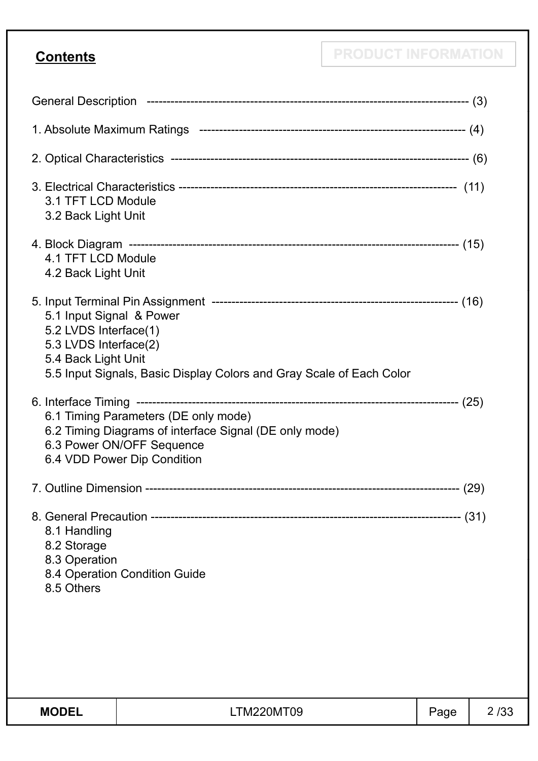**Contents PRODUCT INFORMATION** 

| <b>MODEL</b>                                                                                      | <b>LTM220MT09</b>                                                                                                                                          | Page | 2/33 |
|---------------------------------------------------------------------------------------------------|------------------------------------------------------------------------------------------------------------------------------------------------------------|------|------|
|                                                                                                   |                                                                                                                                                            |      |      |
| 8.1 Handling<br>8.2 Storage<br>8.3 Operation<br>8.5 Others                                        | 8.4 Operation Condition Guide                                                                                                                              |      |      |
|                                                                                                   |                                                                                                                                                            |      |      |
|                                                                                                   | 6.1 Timing Parameters (DE only mode)<br>6.2 Timing Diagrams of interface Signal (DE only mode)<br>6.3 Power ON/OFF Sequence<br>6.4 VDD Power Dip Condition |      |      |
| 5.1 Input Signal & Power<br>5.2 LVDS Interface(1)<br>5.3 LVDS Interface(2)<br>5.4 Back Light Unit | 5.5 Input Signals, Basic Display Colors and Gray Scale of Each Color                                                                                       |      |      |
| 4.1 TFT LCD Module<br>4.2 Back Light Unit                                                         |                                                                                                                                                            |      |      |
| 3.1 TFT LCD Module<br>3.2 Back Light Unit                                                         |                                                                                                                                                            |      |      |
|                                                                                                   |                                                                                                                                                            |      |      |
|                                                                                                   |                                                                                                                                                            |      |      |
|                                                                                                   |                                                                                                                                                            |      |      |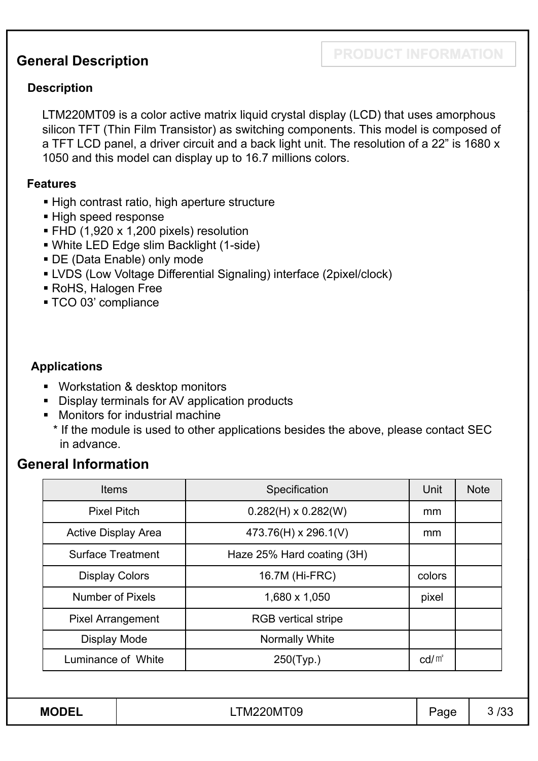## **PRODUCT INFORMATION General Description**

#### **Description**

LTM220MT09 is a color active matrix liquid crystal display (LCD) that uses amorphous silicon TFT (Thin Film Transistor) as switching components. This model is composed of a TFT LCD panel, a driver circuit and a back light unit. The resolution of a 22" is 1680 x 1050 and this model can display up to 16.7 millions colors.

#### **Features**

- High contrast ratio, high aperture structure
- High speed response
- **FHD (1,920 x 1,200 pixels) resolution**
- White LED Edge slim Backlight (1-side)
- DE (Data Enable) only mode
- LVDS (Low Voltage Differential Signaling) interface (2pixel/clock)
- **RoHS, Halogen Free**
- TCO 03' compliance

#### **Applications**

- Workstation & desktop monitors
- Display terminals for AV application products
- **Monitors for industrial machine** 
	- \* If the module is used to other applications besides the above, please contact SEC in advance.

## **General Information**

| <b>Items</b>               | Specification              | Unit            | <b>Note</b> |
|----------------------------|----------------------------|-----------------|-------------|
| <b>Pixel Pitch</b>         | $0.282(H) \times 0.282(W)$ | mm              |             |
| <b>Active Display Area</b> | 473.76(H) x 296.1(V)       | <sub>mm</sub>   |             |
| <b>Surface Treatment</b>   | Haze 25% Hard coating (3H) |                 |             |
| <b>Display Colors</b>      | 16.7M (Hi-FRC)             | colors          |             |
| <b>Number of Pixels</b>    | 1,680 x 1,050              | pixel           |             |
| <b>Pixel Arrangement</b>   | <b>RGB</b> vertical stripe |                 |             |
| Display Mode               | Normally White             |                 |             |
| Luminance of White         | $250$ (Typ.)               | $\text{cd/m}^2$ |             |
|                            |                            |                 |             |
| <b>MODEL</b>               | LTM220MT09                 | Page            | 3/3.        |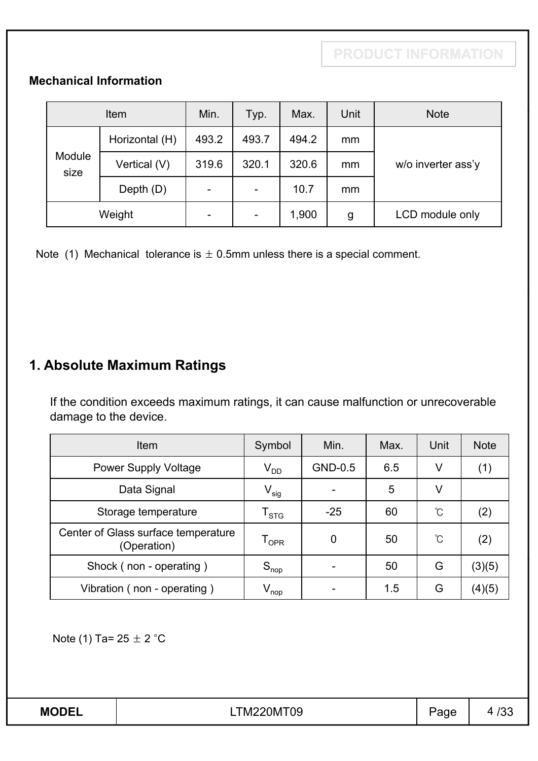### **Mechanical Information**

|                | Item           | Min.  | Typ.                     | Max.  | Unit | <b>Note</b>        |
|----------------|----------------|-------|--------------------------|-------|------|--------------------|
|                | Horizontal (H) | 493.2 | 493.7                    | 494.2 | mm   |                    |
| Module<br>size | Vertical (V)   | 319.6 | 320.1                    | 320.6 | mm   | w/o inverter ass'y |
|                | Depth $(D)$    | ۰     | $\overline{\phantom{a}}$ | 10.7  | mm   |                    |
| Weight         |                |       | $\overline{\phantom{a}}$ | 1,900 | g    | LCD module only    |

Note (1) Mechanical tolerance is  $\pm$  0.5mm unless there is a special comment.

## **1. Absolute Maximum Ratings**

If the condition exceeds maximum ratings, it can cause malfunction or unrecoverable damage to the device.

| Item                                               | Symbol                      | Min.    | Max. | Unit | <b>Note</b> |
|----------------------------------------------------|-----------------------------|---------|------|------|-------------|
| <b>Power Supply Voltage</b>                        | $\mathsf{V}_{\mathsf{DD}}$  | GND-0.5 | 6.5  | V    | (1)         |
| Data Signal                                        | $\mathsf{V}_{\mathsf{sig}}$ |         | 5    | V    |             |
| Storage temperature                                | ${\tt T_{STG}}$             | $-25$   | 60   | °C   | (2)         |
| Center of Glass surface temperature<br>(Operation) | $\mathsf{T}_{\mathsf{OPR}}$ | 0       | 50   | °C   | (2)         |
| Shock (non - operating)                            | $S_{\sf nop}$               |         | 50   | G    | (3)(5)      |
| Vibration (non - operating)                        | $V_{\mathsf{nop}}$          |         | 1.5  | G    | (4)(5)      |

Note (1) Ta=  $25 \pm 2$  °C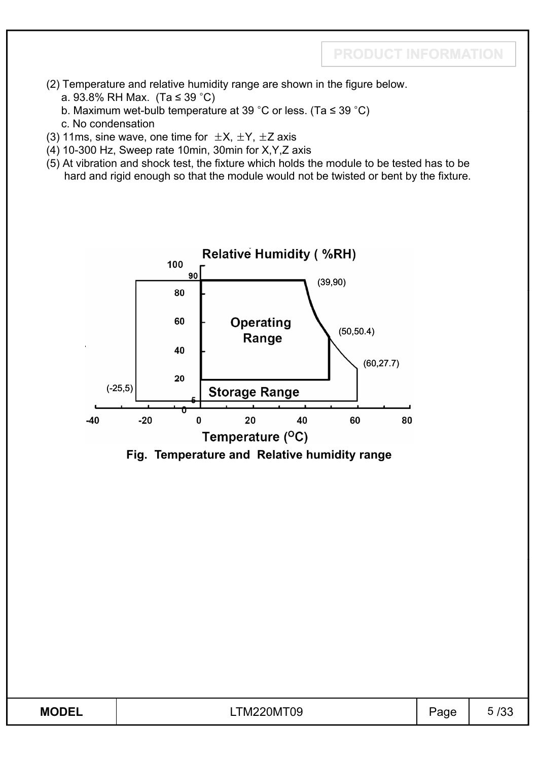- (2) Temperature and relative humidity range are shown in the figure below.
	- a. 93.8% RH Max. (Ta  $\leq$  39 °C)
	- b. Maximum wet-bulb temperature at 39 °C or less. (Ta  $\le$  39 °C)
	- c. No condensation
- (3) 11ms, sine wave, one time for  $\pm X$ ,  $\pm Y$ ,  $\pm Z$  axis
- (4) 10-300 Hz, Sweep rate 10min, 30min for X,Y,Z axis
- (5) At vibration and shock test, the fixture which holds the module to be tested has to be hard and rigid enough so that the module would not be twisted or bent by the fixture.



**Fig. Temperature and Relative humidity range**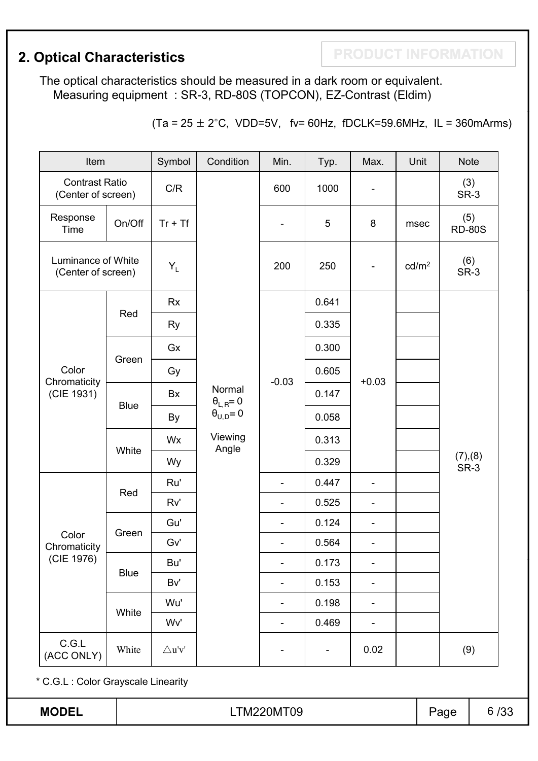**2. Optical Characteristics Action Act ACTES 2. Optical Characteristics** 

The optical characteristics should be measured in a dark room or equivalent. Measuring equipment : SR-3, RD-80S (TOPCON), EZ-Contrast (Eldim)

 $(Ta = 25 \pm 2^{\circ}C, \text{ VDD=5V}, \text{fv= 60Hz}, \text{fDCLK=59.6MHz}, \text{IL = 360mArms})$ 

| Item                                        |             | Symbol                             | Condition                    | Min.                     | Typ.  | Max.                         | Unit              | <b>Note</b>          |      |
|---------------------------------------------|-------------|------------------------------------|------------------------------|--------------------------|-------|------------------------------|-------------------|----------------------|------|
| <b>Contrast Ratio</b><br>(Center of screen) |             | C/R                                |                              | 600                      | 1000  |                              |                   | SR-3                 | (3)  |
| Response<br>Time                            | On/Off      | $Tr + Tf$                          |                              | $\overline{\phantom{a}}$ | 5     | 8                            | msec              | (5)<br><b>RD-80S</b> |      |
| Luminance of White<br>(Center of screen)    |             | $Y_L$                              |                              | 200                      | 250   | $\blacksquare$               | cd/m <sup>2</sup> | (6)<br>SR-3          |      |
|                                             |             | <b>Rx</b>                          |                              |                          | 0.641 |                              |                   |                      |      |
|                                             | Red         | Ry                                 |                              |                          | 0.335 |                              |                   |                      |      |
|                                             |             | Gx                                 |                              |                          | 0.300 |                              |                   |                      |      |
| Color                                       | Green       | Gy                                 |                              |                          | 0.605 |                              |                   |                      |      |
| Chromaticity<br>(CIE 1931)<br>Color         |             | Bx                                 | Normal<br>$\theta_{L,R} = 0$ | $-0.03$                  | 0.147 | $+0.03$                      |                   |                      |      |
|                                             | <b>Blue</b> | By                                 | $\theta_{U,D} = 0$           |                          | 0.058 |                              |                   |                      |      |
|                                             |             | Wx                                 | Viewing<br>Angle             |                          | 0.313 |                              |                   |                      |      |
|                                             | White       | Wy                                 |                              |                          | 0.329 |                              |                   | (7),(8)<br>SR-3      |      |
|                                             | Red         | Ru'                                |                              | $\overline{\phantom{a}}$ | 0.447 | ÷,                           |                   |                      |      |
|                                             |             | Rv'                                |                              | $\blacksquare$           | 0.525 | $\overline{\phantom{a}}$     |                   |                      |      |
|                                             | Green       | Gu'                                |                              | $\blacksquare$           | 0.124 | $\overline{\phantom{a}}$     |                   |                      |      |
| Chromaticity                                |             | Gv'                                |                              | $\overline{\phantom{a}}$ | 0.564 | $\overline{\phantom{a}}$     |                   |                      |      |
| (CIE 1976)                                  | <b>Blue</b> | Bu'                                |                              |                          | 0.173 |                              |                   |                      |      |
|                                             |             | Bv'                                |                              | $\overline{\phantom{a}}$ | 0.153 | $\qquad \qquad \blacksquare$ |                   |                      |      |
|                                             | White       | Wu'                                |                              | $\overline{\phantom{a}}$ | 0.198 | -                            |                   |                      |      |
|                                             |             | Wv'                                |                              | $\overline{\phantom{a}}$ | 0.469 | -                            |                   |                      |      |
| C.G.L<br>(ACC ONLY)                         | White       | $\bigtriangleup {\bf u}' {\bf v}'$ |                              |                          |       | 0.02                         |                   | (9)                  |      |
| * C.G.L : Color Grayscale Linearity         |             |                                    |                              |                          |       |                              |                   |                      |      |
| <b>MODEL</b>                                |             |                                    |                              | LTM220MT09               |       |                              |                   | Page                 | 6/33 |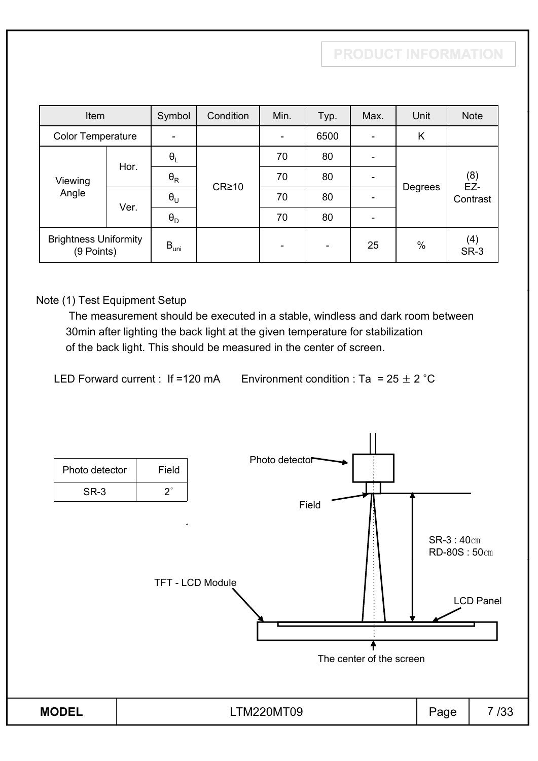| Item                     |                                            | Symbol                           | Condition         | Min. | Typ. | Max. | Unit | <b>Note</b>  |  |         |          |
|--------------------------|--------------------------------------------|----------------------------------|-------------------|------|------|------|------|--------------|--|---------|----------|
| <b>Color Temperature</b> |                                            |                                  |                   | ۰    | 6500 |      | K    |              |  |         |          |
|                          | Hor.                                       | $\theta_L$                       |                   | 70   | 80   |      |      |              |  |         |          |
| Viewing<br>Angle         |                                            | $\boldsymbol{\theta}_\mathsf{R}$ | CR <sub>210</sub> | 70   | 80   |      |      | $(8)$<br>EZ- |  |         |          |
|                          | Ver.                                       | $\boldsymbol{\theta}_{\sf U}$    |                   |      |      |      | 70   | 80           |  | Degrees | Contrast |
|                          |                                            | $\theta_{\rm D}$                 |                   | 70   | 80   |      |      |              |  |         |          |
|                          | <b>Brightness Uniformity</b><br>(9 Points) |                                  |                   | ٠    | ۰    | 25   | %    | (4)<br>SR-3  |  |         |          |

#### Note (1) Test Equipment Setup

The measurement should be executed in a stable, windless and dark room between 30min after lighting the back light at the given temperature for stabilization of the back light. This should be measured in the center of screen.

LED Forward current : If =120 mA Environment condition : Ta = 25  $\pm$  2 °C

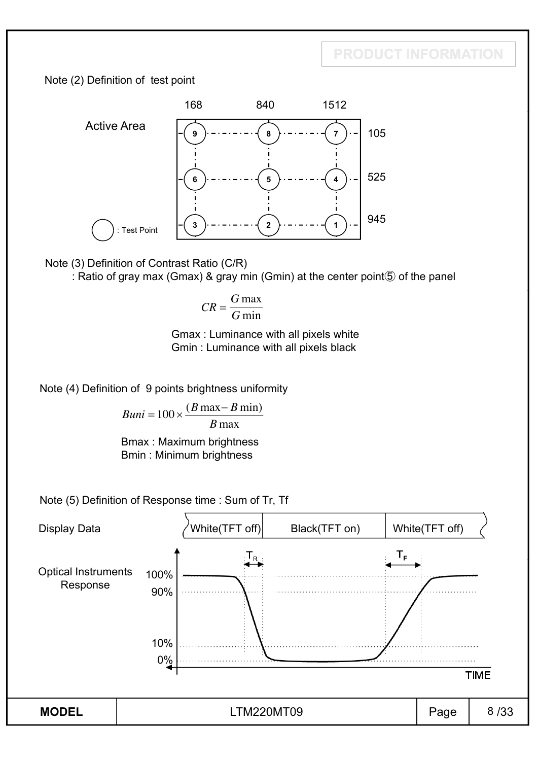## **PRODUCT INFORMATION**

Note (2) Definition of test point



Note (3) Definition of Contrast Ratio (C/R)

: Ratio of gray max (Gmax) & gray min (Gmin) at the center point  $\circled{5}$  of the panel

$$
CR = \frac{G \max}{G \min}
$$

Gmax : Luminance with all pixels white Gmin : Luminance with all pixels black

Note (4) Definition of 9 points brightness uniformity

$$
Buni = 100 \times \frac{(B \max - B \min)}{B \max}
$$

Bmax : Maximum brightness Bmin : Minimum brightness

Note (5) Definition of Response time : Sum of Tr, Tf

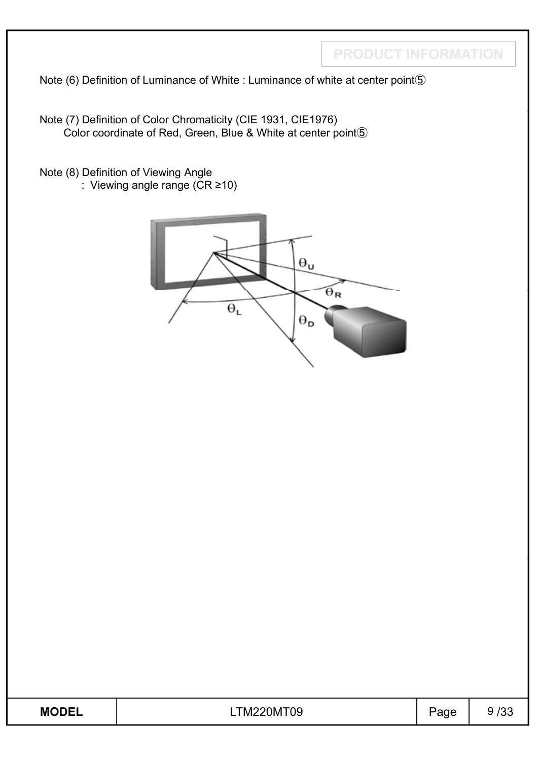**PRODUCT INFORMATION**

Note (6) Definition of Luminance of White : Luminance of white at center point 5

Note (7) Definition of Color Chromaticity (CIE 1931, CIE1976) Color coordinate of Red, Green, Blue & White at center point $\circledS$ 

Note (8) Definition of Viewing Angle : Viewing angle range  $(CR \ge 10)$ 



| <b>MODEL</b><br>►► | 0MT09<br>TM2.<br>_0M ' | $\blacksquare$<br>. .<br>. . | ึ |
|--------------------|------------------------|------------------------------|---|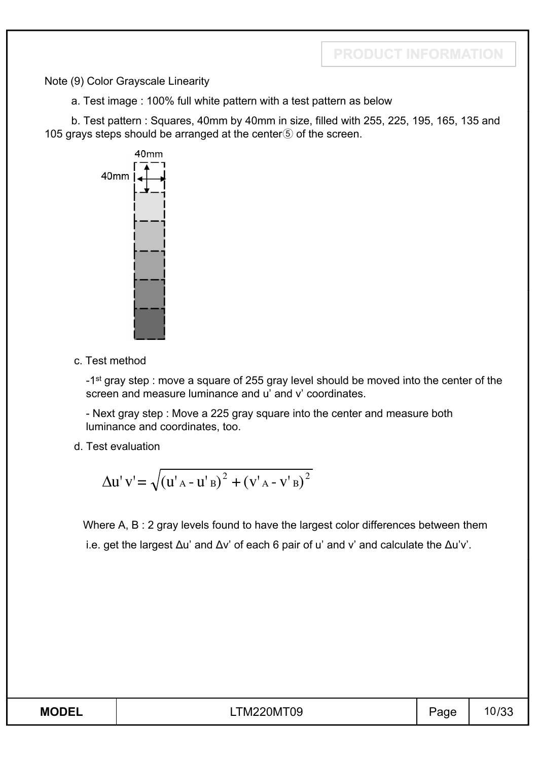Note (9) Color Grayscale Linearity

a. Test image : 100% full white pattern with a test pattern as below

b. Test pattern : Squares, 40mm by 40mm in size, filled with 255, 225, 195, 165, 135 and 105 grays steps should be arranged at the center $\circledS$  of the screen.



c. Test method

- 1<sup>st</sup> gray step : move a square of 255 gray level should be moved into the center of the screen and measure luminance and u' and v' coordinates.

- Next gray step : Move a 225 gray square into the center and measure both luminance and coordinates, too.

d. Test evaluation

$$
\Delta u' v' = \sqrt{(u'_{A} - u'_{B})^{2} + (v'_{A} - v'_{B})^{2}}
$$

Where A, B : 2 gray levels found to have the largest color differences between them i.e. get the largest  $\Delta u$ ' and  $\Delta v$ ' of each 6 pair of u' and v' and calculate the  $\Delta u'v'$ .

| <b>MODEL</b> | <b>LTM220MT09</b> | $1 - 1$<br>◡ | リマー |
|--------------|-------------------|--------------|-----|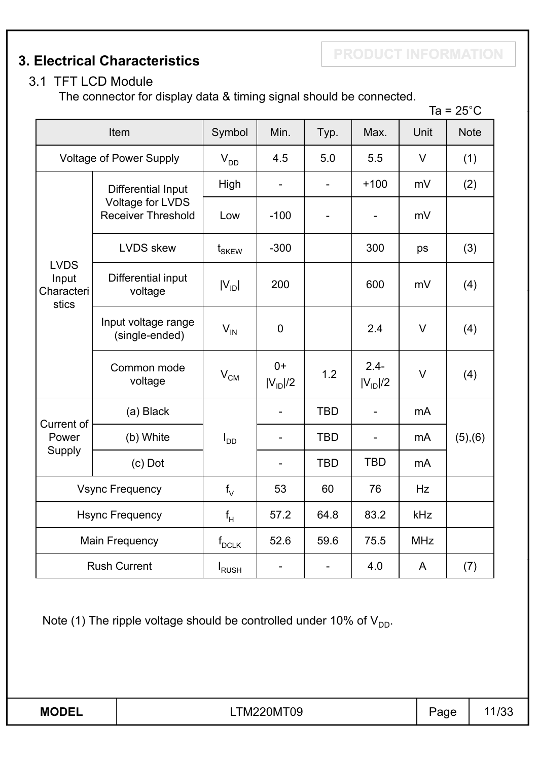**3. Electrical Characteristics**

## 3.1 TFT LCD Module

The connector for display data & timing signal should be connected.

|                                             |                                               |                            |                          |                          |                         |            | Ta = $25^{\circ}$ C |
|---------------------------------------------|-----------------------------------------------|----------------------------|--------------------------|--------------------------|-------------------------|------------|---------------------|
|                                             | Item                                          | Symbol                     | Min.                     | Typ.                     | Max.                    | Unit       | <b>Note</b>         |
|                                             | <b>Voltage of Power Supply</b>                | $V_{DD}$                   | 4.5                      | 5.0                      | $\vee$<br>5.5           |            | (1)                 |
|                                             | Differential Input                            | High                       | $\qquad \qquad -$        | $\overline{\phantom{0}}$ | $+100$                  | mV         | (2)                 |
|                                             | Voltage for LVDS<br><b>Receiver Threshold</b> | Low                        | $-100$                   |                          | -                       | mV         |                     |
|                                             | <b>LVDS</b> skew                              | $t_{SKEW}$                 | $-300$                   |                          | 300                     | ps         | (3)                 |
| <b>LVDS</b><br>Input<br>Characteri<br>stics | Differential input<br>voltage                 | $ V_{ID} $                 | 200                      |                          | 600                     | mV         | (4)                 |
|                                             | Input voltage range<br>(single-ended)         | $V_{IN}$                   | 0                        |                          | 2.4                     | V          | (4)                 |
|                                             | Common mode<br>voltage                        | $\mathsf{V}_{\mathsf{CM}}$ | $0+$<br>$ V_{ID} /2$     | 1.2                      | $2.4 -$<br>$ V_{ID} /2$ | $\vee$     | (4)                 |
|                                             | (a) Black                                     |                            | $\overline{\phantom{a}}$ | <b>TBD</b>               |                         | mA         |                     |
| Current of<br>Power<br>Supply               | (b) White                                     | $I_{DD}$                   | $\blacksquare$           | <b>TBD</b>               |                         | mA         | (5), (6)            |
|                                             | $(c)$ Dot                                     |                            |                          | <b>TBD</b>               | <b>TBD</b>              | mA         |                     |
|                                             | <b>Vsync Frequency</b>                        | $f_{\vee}$                 | 53                       | 60                       | 76                      | Hz         |                     |
|                                             | <b>Hsync Frequency</b>                        | $\mathsf{f}_{\mathsf{H}}$  | 57.2                     | 64.8                     | 83.2                    | kHz        |                     |
|                                             | <b>Main Frequency</b>                         | $f_{DCLK}$                 | 52.6                     | 59.6                     | 75.5                    | <b>MHz</b> |                     |
|                                             | <b>Rush Current</b>                           | I <sub>RUSH</sub>          | $\overline{\phantom{0}}$ |                          | 4.0                     | A          | (7)                 |

Note (1) The ripple voltage should be controlled under 10% of  $V_{DD}$ .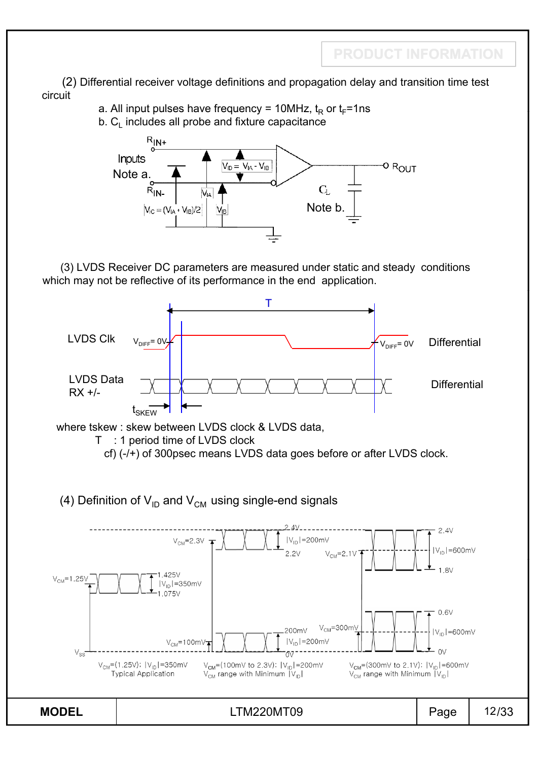(2) Differential receiver voltage definitions and propagation delay and transition time test circuit

a. All input pulses have frequency = 10MHz,  $t_R$  or  $t_F$ =1ns

 $b. C<sub>l</sub>$  includes all probe and fixture capacitance



(3) LVDS Receiver DC parameters are measured under static and steady conditions which may not be reflective of its performance in the end application.

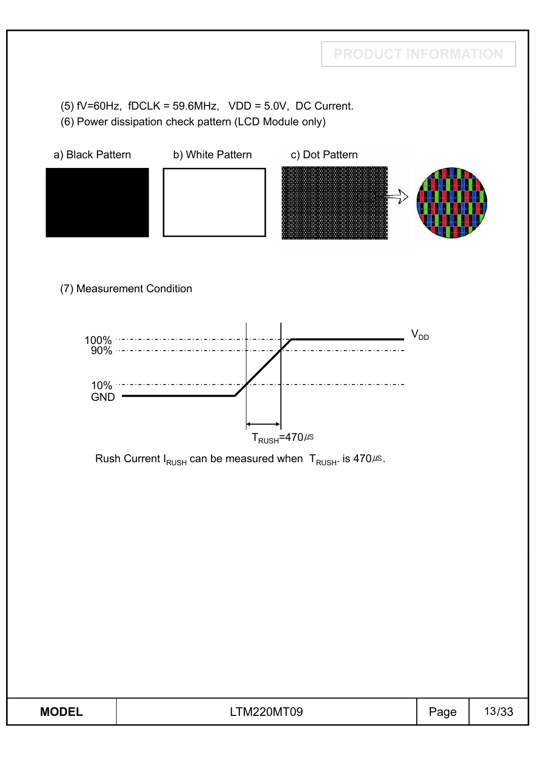(5)  $fV=60Hz$ ,  $fDCLK = 59.6MHz$ ,  $VDD = 5.0V$ , DC Current.

(6) Power dissipation check pattern (LCD Module only)

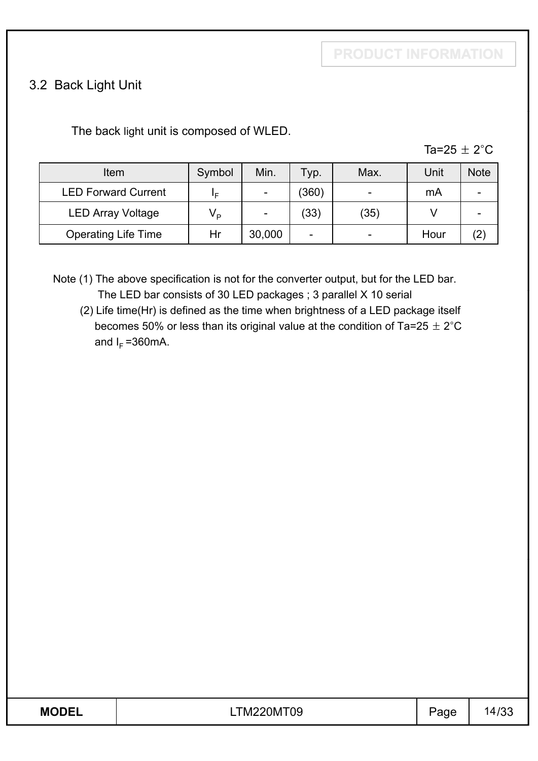## 3.2 Back Light Unit

The back light unit is composed of WLED.

| - 10 |
|------|
|------|

| Item                       | Symbol      | Min.   | Typ.  | Max. | Unit | <b>Note</b>       |
|----------------------------|-------------|--------|-------|------|------|-------------------|
| <b>LED Forward Current</b> | I⊏          |        | (360) |      | mA   |                   |
| <b>LED Array Voltage</b>   | $V_{\rm p}$ |        | (33)  | (35) |      |                   |
| <b>Operating Life Time</b> | Hr          | 30,000 | -     |      | Hour | $\left( 2\right)$ |

Note (1) The above specification is not for the converter output, but for the LED bar. The LED bar consists of 30 LED packages ; 3 parallel X 10 serial

(2) Life time(Hr) is defined as the time when brightness of a LED package itself becomes 50% or less than its original value at the condition of Ta=25  $\pm$  2°C and  $I_F = 360$  mA.

| <b>MODEL</b> | _ , ,vı∠∠UM   ( )∪ | -<br>ັ |  |
|--------------|--------------------|--------|--|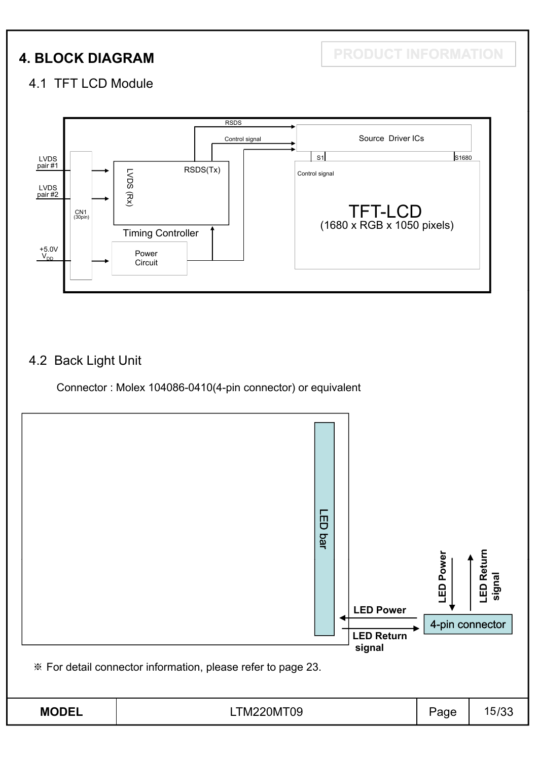**4. BLOCK DIAGRAM PRODUCT INFORMATION**

## 4.1 TFT LCD Module



### 4.2 Back Light Unit

Connector : Molex 104086-0410(4-pin connector) or equivalent

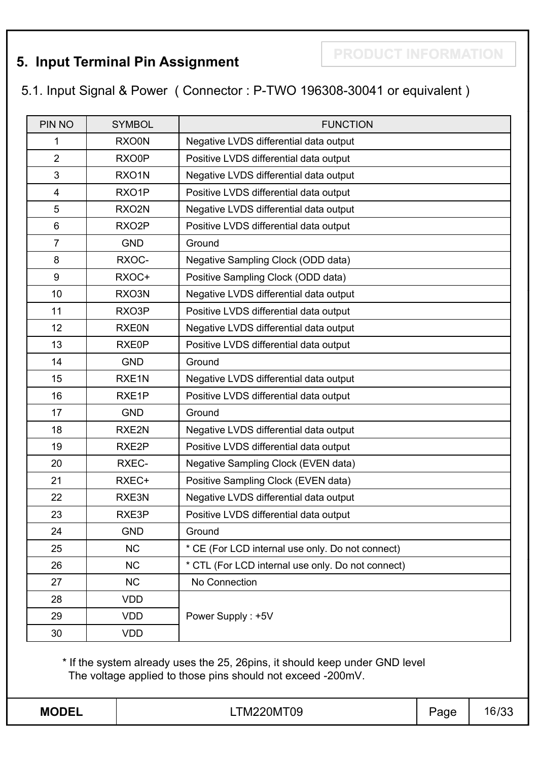## **5. Input Terminal Pin Assignment**

**PRODUCT INFORMATION**

5.1. Input Signal & Power ( Connector : P-TWO 196308-30041 or equivalent )

| PIN NO         | <b>SYMBOL</b>      | <b>FUNCTION</b>                                   |
|----------------|--------------------|---------------------------------------------------|
| 1              | <b>RXO0N</b>       | Negative LVDS differential data output            |
| $\overline{2}$ | RXO0P              | Positive LVDS differential data output            |
| 3              | RXO1N              | Negative LVDS differential data output            |
| 4              | RXO1P              | Positive LVDS differential data output            |
| 5              | RXO2N              | Negative LVDS differential data output            |
| 6              | RXO <sub>2</sub> P | Positive LVDS differential data output            |
| $\overline{7}$ | <b>GND</b>         | Ground                                            |
| 8              | RXOC-              | Negative Sampling Clock (ODD data)                |
| 9              | RXOC+              | Positive Sampling Clock (ODD data)                |
| 10             | RXO3N              | Negative LVDS differential data output            |
| 11             | RXO3P              | Positive LVDS differential data output            |
| 12             | <b>RXE0N</b>       | Negative LVDS differential data output            |
| 13             | RXE0P              | Positive LVDS differential data output            |
| 14             | <b>GND</b>         | Ground                                            |
| 15             | RXE <sub>1N</sub>  | Negative LVDS differential data output            |
| 16             | RXE1P              | Positive LVDS differential data output            |
| 17             | <b>GND</b>         | Ground                                            |
| 18             | RXE2N              | Negative LVDS differential data output            |
| 19             | RXE2P              | Positive LVDS differential data output            |
| 20             | <b>RXEC-</b>       | Negative Sampling Clock (EVEN data)               |
| 21             | RXEC+              | Positive Sampling Clock (EVEN data)               |
| 22             | RXE3N              | Negative LVDS differential data output            |
| 23             | RXE3P              | Positive LVDS differential data output            |
| 24             | <b>GND</b>         | Ground                                            |
| 25             | <b>NC</b>          | * CE (For LCD internal use only. Do not connect)  |
| 26             | <b>NC</b>          | * CTL (For LCD internal use only. Do not connect) |
| 27             | <b>NC</b>          | No Connection                                     |
| 28             | <b>VDD</b>         |                                                   |
| 29             | <b>VDD</b>         | Power Supply: +5V                                 |
| 30             | <b>VDD</b>         |                                                   |

\* If the system already uses the 25, 26pins, it should keep under GND level The voltage applied to those pins should not exceed -200mV.

**MODEL** | LTM220MT09 | Page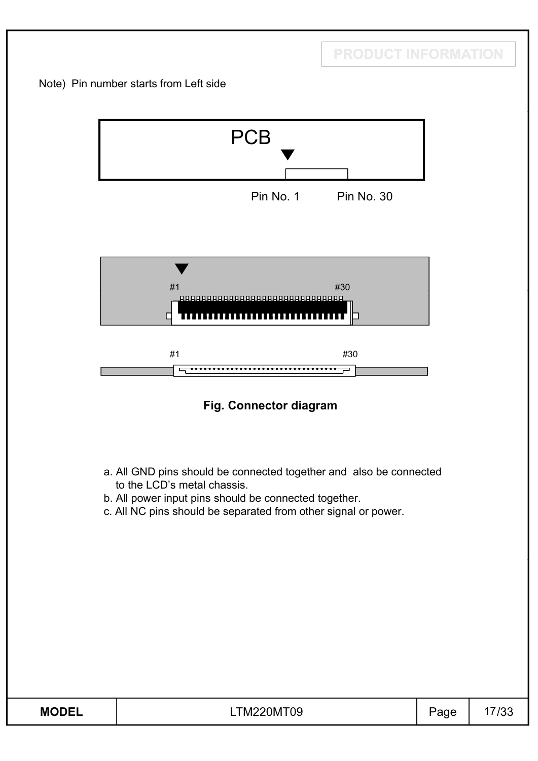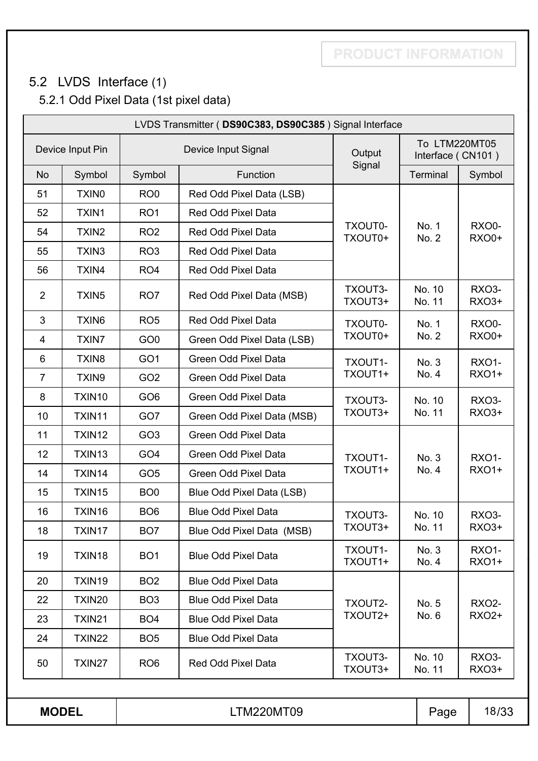## **PRODUCT INFORMATION**

## 5.2 LVDS Interface (1)

5.2.1 Odd Pixel Data (1st pixel data)

| LVDS Transmitter (DS90C383, DS90C385) Signal Interface |                   |                 |                             |                    |                  |                                    |              |
|--------------------------------------------------------|-------------------|-----------------|-----------------------------|--------------------|------------------|------------------------------------|--------------|
| Device Input Pin                                       |                   |                 | Device Input Signal         |                    |                  | To LTM220MT05<br>Interface (CN101) |              |
| <b>No</b>                                              | Symbol            | Symbol          | Function                    | Signal             | <b>Terminal</b>  | Symbol                             |              |
| 51                                                     | <b>TXINO</b>      | RO <sub>0</sub> | Red Odd Pixel Data (LSB)    |                    |                  |                                    |              |
| 52                                                     | TXIN1             | RO <sub>1</sub> | Red Odd Pixel Data          |                    |                  |                                    |              |
| 54                                                     | TXIN <sub>2</sub> | RO <sub>2</sub> | Red Odd Pixel Data          | TXOUT0-<br>TXOUT0+ | No. 1<br>No. 2   | RXO0-<br><b>RXO0+</b>              |              |
| 55                                                     | TXIN3             | RO <sub>3</sub> | Red Odd Pixel Data          |                    |                  |                                    |              |
| 56                                                     | TXIN4             | RO <sub>4</sub> | Red Odd Pixel Data          |                    |                  |                                    |              |
| $\overline{2}$                                         | TXIN <sub>5</sub> | RO <sub>7</sub> | Red Odd Pixel Data (MSB)    | TXOUT3-<br>TXOUT3+ | No. 10<br>No. 11 | RXO3-<br><b>RXO3+</b>              |              |
| 3                                                      | <b>TXIN6</b>      | RO <sub>5</sub> | Red Odd Pixel Data          | TXOUT0-            | No. 1            | RXO0-                              |              |
| 4                                                      | <b>TXIN7</b>      | GO <sub>0</sub> | Green Odd Pixel Data (LSB)  | TXOUT0+            | No. 2            | <b>RXO0+</b>                       |              |
| 6                                                      | TXIN8             | GO <sub>1</sub> | <b>Green Odd Pixel Data</b> | TXOUT1-            | No. 3            | <b>RXO1-</b>                       |              |
| $\overline{7}$                                         | TXIN9             | GO <sub>2</sub> | Green Odd Pixel Data        | TXOUT1+            | No. 4            | <b>RXO1+</b>                       |              |
| 8                                                      | TXIN10            | GO <sub>6</sub> | <b>Green Odd Pixel Data</b> | TXOUT3-            | No. 10           | <b>RXO3-</b>                       |              |
| 10                                                     | TXIN11            | GO7             | Green Odd Pixel Data (MSB)  | TXOUT3+            | No. 11           | <b>RXO3+</b>                       |              |
| 11                                                     | TXIN12            | GO <sub>3</sub> | Green Odd Pixel Data        |                    |                  |                                    |              |
| 12                                                     | TXIN13            | GO <sub>4</sub> | Green Odd Pixel Data        | TXOUT1-            | No. 3            | <b>RXO1-</b>                       |              |
| 14                                                     | TXIN14            | GO <sub>5</sub> | <b>Green Odd Pixel Data</b> | TXOUT1+            |                  | No. 4                              | <b>RXO1+</b> |
| 15                                                     | TXIN15            | BO <sub>0</sub> | Blue Odd Pixel Data (LSB)   |                    |                  |                                    |              |
| 16                                                     | TXIN16            | BO <sub>6</sub> | <b>Blue Odd Pixel Data</b>  | TXOUT3-            | No. 10           | RXO3-                              |              |
| 18                                                     | TXIN17            | BO <sub>7</sub> | Blue Odd Pixel Data (MSB)   | TXOUT3+            | No. 11           | RX03+                              |              |
| 19                                                     | TXIN18            | BO <sub>1</sub> | <b>Blue Odd Pixel Data</b>  | TXOUT1-<br>TXOUT1+ | No. 3<br>No. 4   | <b>RXO1-</b><br><b>RXO1+</b>       |              |
| 20                                                     | TXIN19            | BO <sub>2</sub> | <b>Blue Odd Pixel Data</b>  |                    |                  |                                    |              |
| 22                                                     | TXIN20            | BO <sub>3</sub> | <b>Blue Odd Pixel Data</b>  | TXOUT2-            | No. 5            | <b>RXO2-</b>                       |              |
| 23                                                     | TXIN21            | BO <sub>4</sub> | <b>Blue Odd Pixel Data</b>  | TXOUT2+            | No. 6            | <b>RXO2+</b>                       |              |
| 24                                                     | TXIN22            | BO <sub>5</sub> | <b>Blue Odd Pixel Data</b>  |                    |                  |                                    |              |
| 50                                                     | TXIN27            | RO <sub>6</sub> | Red Odd Pixel Data          | TXOUT3-<br>TXOUT3+ | No. 10<br>No. 11 | <b>RXO3-</b><br><b>RXO3+</b>       |              |
|                                                        |                   |                 |                             |                    |                  |                                    |              |
|                                                        | <b>MODEL</b>      |                 | LTM220MT09                  |                    | Page             | 18/33                              |              |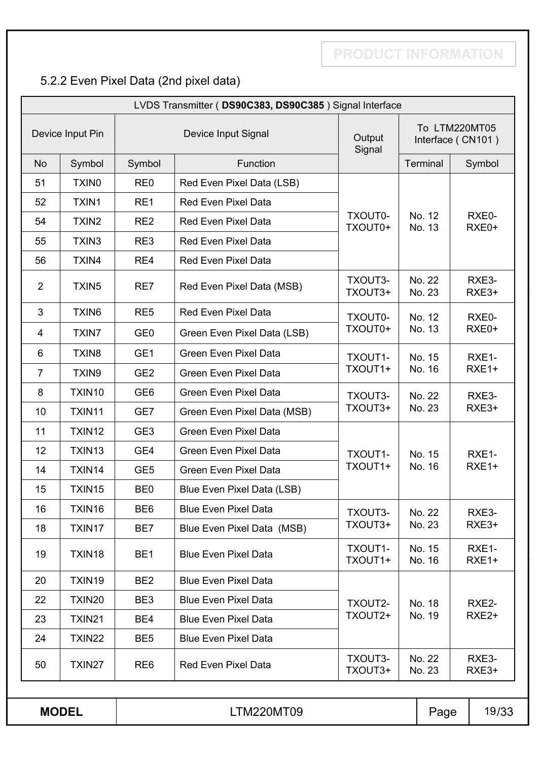## 5.2.2 Even Pixel Data (2nd pixel data)

| LVDS Transmitter (DS90C383, DS90C385) Signal Interface |                   |                 |                                                  |                    |                  |                                    |                   |
|--------------------------------------------------------|-------------------|-----------------|--------------------------------------------------|--------------------|------------------|------------------------------------|-------------------|
| Device Input Pin                                       |                   |                 | Device Input Signal                              | Output<br>Signal   |                  | To LTM220MT05<br>Interface (CN101) |                   |
| <b>No</b>                                              | Symbol            | Symbol          | Function                                         |                    | Terminal         |                                    | Symbol            |
| 51                                                     | <b>TXINO</b>      | RE <sub>0</sub> | Red Even Pixel Data (LSB)                        |                    |                  |                                    |                   |
| 52                                                     | TXIN1             | RE1             | <b>Red Even Pixel Data</b>                       |                    |                  |                                    |                   |
| 54                                                     | TXIN <sub>2</sub> | RE <sub>2</sub> | <b>Red Even Pixel Data</b>                       | TXOUT0-<br>TXOUT0+ | No. 12<br>No. 13 |                                    | RXE0-<br>RXE0+    |
| 55                                                     | TXIN <sub>3</sub> | RE3             | <b>Red Even Pixel Data</b>                       |                    |                  |                                    |                   |
| 56                                                     | TXIN4             | RE4             | <b>Red Even Pixel Data</b>                       |                    |                  |                                    |                   |
| $\overline{2}$                                         | TXIN <sub>5</sub> | RE7             | Red Even Pixel Data (MSB)                        | TXOUT3-<br>TXOUT3+ | No. 22<br>No. 23 |                                    | RXE3-<br>RXE3+    |
| 3                                                      | TXIN6             | RE <sub>5</sub> | <b>Red Even Pixel Data</b>                       | TXOUT0-            | No. 12           |                                    | RXE0-             |
| $\overline{4}$                                         | <b>TXIN7</b>      | GE <sub>0</sub> | Green Even Pixel Data (LSB)                      | TXOUT0+            | No. 13           |                                    | RXE0+             |
| 6                                                      | TXIN <sub>8</sub> | GE <sub>1</sub> | <b>Green Even Pixel Data</b>                     | TXOUT1-            | No. 15           |                                    | RXE1-             |
| $\overline{7}$                                         | TXIN9             | GE <sub>2</sub> | <b>Green Even Pixel Data</b>                     | TXOUT1+            | No. 16           |                                    | RXE1+             |
| 8                                                      | TXIN10            | GE <sub>6</sub> | <b>Green Even Pixel Data</b>                     | TXOUT3-            | No. 22           |                                    | RXE3-             |
| 10                                                     | TXIN11            | GE7             | Green Even Pixel Data (MSB)                      | TXOUT3+            | No. 23           |                                    | RXE3+             |
| 11                                                     | TXIN12            | GE <sub>3</sub> | <b>Green Even Pixel Data</b>                     |                    |                  |                                    |                   |
| 12                                                     | TXIN13            | GE4             | <b>Green Even Pixel Data</b>                     | TXOUT1-            | No. 15<br>No. 16 |                                    | RXE1-             |
| 14                                                     | TXIN14            | GE <sub>5</sub> | <b>Green Even Pixel Data</b>                     | TXOUT1+            |                  |                                    | RXE1+             |
| 15                                                     | TXIN15            | BE <sub>0</sub> | Blue Even Pixel Data (LSB)                       |                    |                  |                                    |                   |
| 16                                                     | TXIN16            | BE <sub>6</sub> | <b>Blue Even Pixel Data</b>                      | TXOUT3-            | No. 22           |                                    | RXE3-             |
| 18                                                     | TXIN17            | BE7             | Blue Even Pixel Data (MSB)                       | TXOUT3+            | No. 23           |                                    | RXE3+             |
| 19                                                     | TXIN18            | BE <sub>1</sub> | <b>Blue Even Pixel Data</b>                      | TXOUT1-<br>TXOUT1+ | No. 15<br>No. 16 |                                    | RXE1-<br>RXE1+    |
| 20                                                     | TXIN19            | BE <sub>2</sub> | <b>Blue Even Pixel Data</b>                      |                    |                  |                                    |                   |
| 22                                                     | TXIN20            | BE3             | <b>Blue Even Pixel Data</b>                      | TXOUT2-            | No. 18           |                                    | RXE2-             |
| 23                                                     | TXIN21            | BE4             | <b>Blue Even Pixel Data</b>                      | TXOUT2+            | No. 19           |                                    | RXE <sub>2+</sub> |
| 24                                                     | TXIN22            | BE <sub>5</sub> | <b>Blue Even Pixel Data</b>                      |                    |                  |                                    |                   |
| 50                                                     | TXIN27            | RE <sub>6</sub> | TXOUT3-<br><b>Red Even Pixel Data</b><br>TXOUT3+ |                    | No. 22<br>No. 23 |                                    | RXE3-<br>RXE3+    |
|                                                        |                   |                 |                                                  |                    |                  |                                    |                   |
| <b>MODEL</b>                                           |                   |                 | LTM220MT09                                       |                    |                  | Page                               | 19/33             |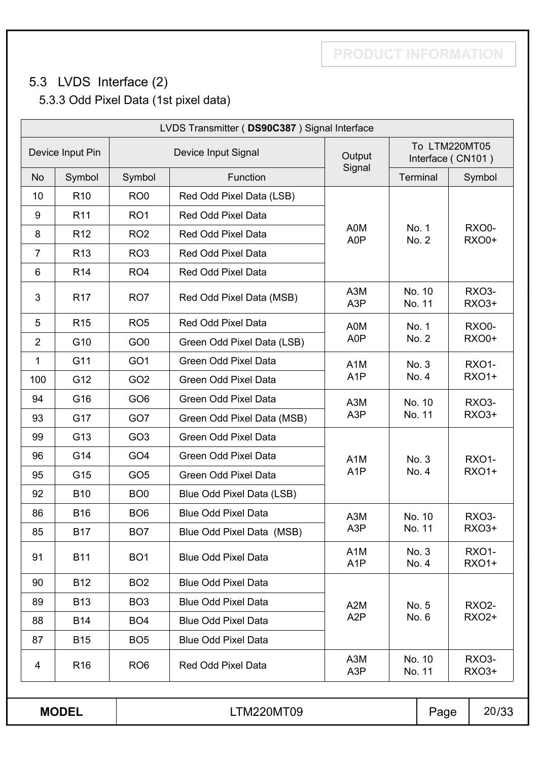## **PRODUCT INFORMATION**

## 5.3 LVDS Interface (2) 5.3.3 Odd Pixel Data (1st pixel data)

| LVDS Transmitter (DS90C387) Signal Interface |                 |                 |                             |                                      |                  |                                    |                              |
|----------------------------------------------|-----------------|-----------------|-----------------------------|--------------------------------------|------------------|------------------------------------|------------------------------|
| Device Input Pin                             |                 |                 | Device Input Signal         | Output                               |                  | To LTM220MT05<br>Interface (CN101) |                              |
| <b>No</b>                                    | Symbol          | Symbol          | Function                    | Signal                               | Terminal         |                                    | Symbol                       |
| 10                                           | R <sub>10</sub> | RO <sub>0</sub> | Red Odd Pixel Data (LSB)    |                                      |                  |                                    |                              |
| 9                                            | R <sub>11</sub> | RO <sub>1</sub> | Red Odd Pixel Data          |                                      |                  |                                    |                              |
| 8                                            | R <sub>12</sub> | RO <sub>2</sub> | Red Odd Pixel Data          | A0M<br>A0P                           | No. 1<br>No. 2   |                                    | <b>RXO0-</b><br><b>RXO0+</b> |
| $\overline{7}$                               | R <sub>13</sub> | RO <sub>3</sub> | <b>Red Odd Pixel Data</b>   |                                      |                  |                                    |                              |
| 6                                            | R <sub>14</sub> | RO <sub>4</sub> | <b>Red Odd Pixel Data</b>   |                                      |                  |                                    |                              |
| 3                                            | R <sub>17</sub> | RO <sub>7</sub> | Red Odd Pixel Data (MSB)    | A <sub>3</sub> M<br>A <sub>3</sub> P | No. 10<br>No. 11 |                                    | <b>RXO3-</b><br>RXO3+        |
| 5                                            | R <sub>15</sub> | RO <sub>5</sub> | Red Odd Pixel Data          | A0M<br>No. 1<br>A0P<br>No. 2         |                  |                                    | <b>RXO0-</b>                 |
| $\overline{2}$                               | G10             | GO <sub>0</sub> | Green Odd Pixel Data (LSB)  |                                      |                  |                                    | <b>RXO0+</b>                 |
| 1                                            | G11             | GO <sub>1</sub> | <b>Green Odd Pixel Data</b> | A <sub>1</sub> M<br>No. 3            |                  |                                    | <b>RXO1-</b>                 |
| 100                                          | G12             | GO <sub>2</sub> | Green Odd Pixel Data        | A <sub>1</sub> P                     | No. 4            |                                    | <b>RXO1+</b>                 |
| 94                                           | G16             | GO <sub>6</sub> | <b>Green Odd Pixel Data</b> | A <sub>3</sub> M<br>No. 10           |                  |                                    | RXO <sub>3</sub> -           |
| 93                                           | G17             | GO7             | Green Odd Pixel Data (MSB)  | A <sub>3</sub> P                     | No. 11           |                                    | <b>RXO3+</b>                 |
| 99                                           | G13             | GO <sub>3</sub> | <b>Green Odd Pixel Data</b> |                                      |                  |                                    |                              |
| 96                                           | G14             | GO <sub>4</sub> | Green Odd Pixel Data        | A <sub>1</sub> M                     | No. 3            |                                    | <b>RXO1-</b>                 |
| 95                                           | G15             | GO <sub>5</sub> | <b>Green Odd Pixel Data</b> | A <sub>1</sub> P                     | No. 4            |                                    | <b>RXO1+</b>                 |
| 92                                           | <b>B10</b>      | BO <sub>0</sub> | Blue Odd Pixel Data (LSB)   |                                      |                  |                                    |                              |
| 86                                           | <b>B16</b>      | BO <sub>6</sub> | <b>Blue Odd Pixel Data</b>  | A <sub>3</sub> M                     | No. 10           |                                    | RXO <sub>3</sub> -           |
| 85                                           | <b>B17</b>      | BO <sub>7</sub> | Blue Odd Pixel Data (MSB)   | A <sub>3</sub> P                     | No. 11           |                                    | RXO3+                        |
| 91                                           | <b>B11</b>      | BO <sub>1</sub> | <b>Blue Odd Pixel Data</b>  | A <sub>1</sub> M<br>A <sub>1</sub> P | No. 3<br>No. 4   |                                    | <b>RXO1-</b><br><b>RXO1+</b> |
| 90                                           | <b>B12</b>      | BO <sub>2</sub> | <b>Blue Odd Pixel Data</b>  |                                      |                  |                                    |                              |
| 89                                           | <b>B13</b>      | BO <sub>3</sub> | <b>Blue Odd Pixel Data</b>  | A <sub>2</sub> M                     | No. 5            |                                    | <b>RXO2-</b>                 |
| 88                                           | <b>B14</b>      | BO <sub>4</sub> | <b>Blue Odd Pixel Data</b>  | A <sub>2</sub> P                     | No. 6            |                                    | <b>RXO2+</b>                 |
| 87                                           | <b>B15</b>      | BO <sub>5</sub> | <b>Blue Odd Pixel Data</b>  |                                      |                  |                                    |                              |
| 4                                            | R <sub>16</sub> | RO <sub>6</sub> | Red Odd Pixel Data          | A <sub>3</sub> M<br>A3P              | No. 10<br>No. 11 |                                    | <b>RXO3-</b><br>RXO3+        |
|                                              | <b>MODEL</b>    |                 | <b>LTM220MT09</b>           |                                      |                  | Page                               | 20/33                        |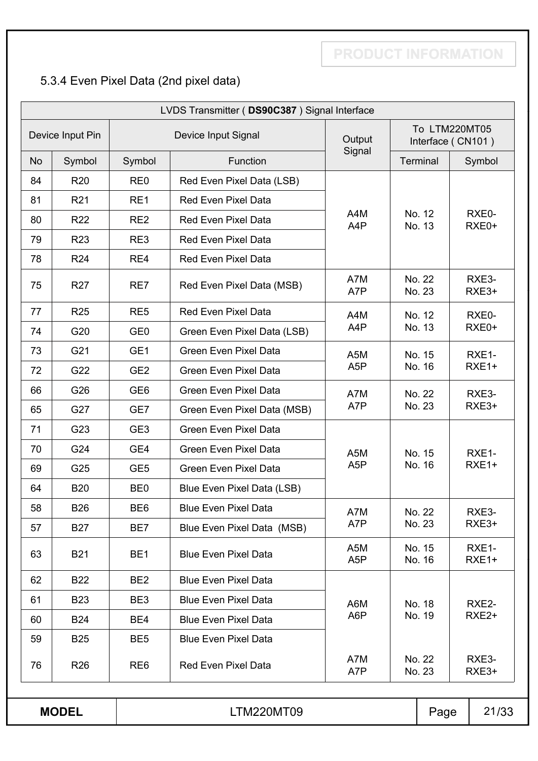## 5.3.4 Even Pixel Data (2nd pixel data)

| LVDS Transmitter (DS90C387) Signal Interface |                  |                 |                              |                         |                  |                  |                                    |
|----------------------------------------------|------------------|-----------------|------------------------------|-------------------------|------------------|------------------|------------------------------------|
|                                              | Device Input Pin |                 | Device Input Signal          | Output                  |                  |                  | To LTM220MT05<br>Interface (CN101) |
| <b>No</b>                                    | Symbol           | Symbol          | Function                     | Signal                  |                  | Terminal         | Symbol                             |
| 84                                           | <b>R20</b>       | RE <sub>0</sub> | Red Even Pixel Data (LSB)    |                         |                  |                  |                                    |
| 81                                           | R <sub>21</sub>  | RE1             | <b>Red Even Pixel Data</b>   |                         |                  |                  |                                    |
| 80                                           | <b>R22</b>       | RE <sub>2</sub> | <b>Red Even Pixel Data</b>   | A4M<br>A4P              |                  | No. 12<br>No. 13 | RXE0-<br>RXE0+                     |
| 79                                           | <b>R23</b>       | RE3             | <b>Red Even Pixel Data</b>   |                         |                  |                  |                                    |
| 78                                           | <b>R24</b>       | RE4             | <b>Red Even Pixel Data</b>   |                         |                  |                  |                                    |
| 75                                           | R <sub>27</sub>  | RE7             | Red Even Pixel Data (MSB)    | A7M<br>A7P              |                  | No. 22<br>No. 23 | RXE3-<br>RXE3+                     |
| 77                                           | <b>R25</b>       | RE <sub>5</sub> | <b>Red Even Pixel Data</b>   | A4M                     |                  | No. 12           | RXE0-                              |
| 74                                           | G20              | GE <sub>0</sub> | Green Even Pixel Data (LSB)  | A4P                     |                  | No. 13           | RXE0+                              |
| 73                                           | G21              | GE <sub>1</sub> | <b>Green Even Pixel Data</b> | A5M                     |                  | No. 15           | RXE1-                              |
| 72                                           | G22              | GE <sub>2</sub> | <b>Green Even Pixel Data</b> | A <sub>5</sub> P        |                  | No. 16           | RXE1+                              |
| 66                                           | G26              | GE <sub>6</sub> | <b>Green Even Pixel Data</b> | A7M                     |                  | No. 22           | RXE3-                              |
| 65                                           | G27              | GE7             | Green Even Pixel Data (MSB)  | A7P                     |                  | No. 23           | RXE3+                              |
| 71                                           | G23              | GE <sub>3</sub> | <b>Green Even Pixel Data</b> |                         |                  |                  |                                    |
| 70                                           | G24              | GE4             | <b>Green Even Pixel Data</b> | A5M                     | No. 15           |                  | RXE1-                              |
| 69                                           | G25              | GE <sub>5</sub> | <b>Green Even Pixel Data</b> | A <sub>5</sub> P        |                  | No. 16           | RXE1+                              |
| 64                                           | <b>B20</b>       | BE <sub>0</sub> | Blue Even Pixel Data (LSB)   |                         |                  |                  |                                    |
| 58                                           | <b>B26</b>       | BE <sub>6</sub> | <b>Blue Even Pixel Data</b>  | A7M                     |                  | No. 22           | RXE3-                              |
| 57                                           | <b>B27</b>       | BE7             | Blue Even Pixel Data (MSB)   | A7P                     |                  | No. 23           | RXE3+                              |
| 63                                           | <b>B21</b>       | BE <sub>1</sub> | <b>Blue Even Pixel Data</b>  | A5M<br>A <sub>5</sub> P |                  | No. 15<br>No. 16 | RXE1-<br>RXE1+                     |
| 62                                           | <b>B22</b>       | BE <sub>2</sub> | <b>Blue Even Pixel Data</b>  |                         |                  |                  |                                    |
| 61                                           | <b>B23</b>       | BE3             | <b>Blue Even Pixel Data</b>  | A6M                     |                  | No. 18           | RXE2-                              |
| 60                                           | <b>B24</b>       | BE4             | <b>Blue Even Pixel Data</b>  | A6P                     |                  | No. 19           | RXE <sub>2+</sub>                  |
| 59                                           | <b>B25</b>       | BE <sub>5</sub> | <b>Blue Even Pixel Data</b>  |                         |                  |                  |                                    |
| 76                                           | R <sub>26</sub>  | RE <sub>6</sub> | <b>Red Even Pixel Data</b>   | A7M<br>A7P              | No. 22<br>No. 23 |                  | RXE3-<br>RXE3+                     |
|                                              |                  |                 |                              |                         |                  |                  |                                    |
| <b>MODEL</b><br><b>LTM220MT09</b><br>Page    |                  |                 | 21/33                        |                         |                  |                  |                                    |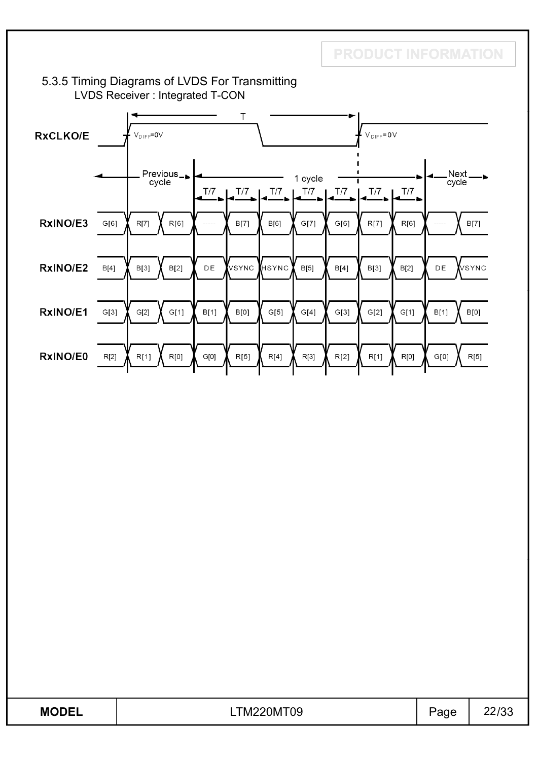#### 5.3.5 Timing Diagrams of LVDS For Transmitting LVDS Receiver : Integrated T-CON



| <b>MODEL</b> | M220MT09 | age | מהו הה |
|--------------|----------|-----|--------|
| .            | TM       |     | 44100  |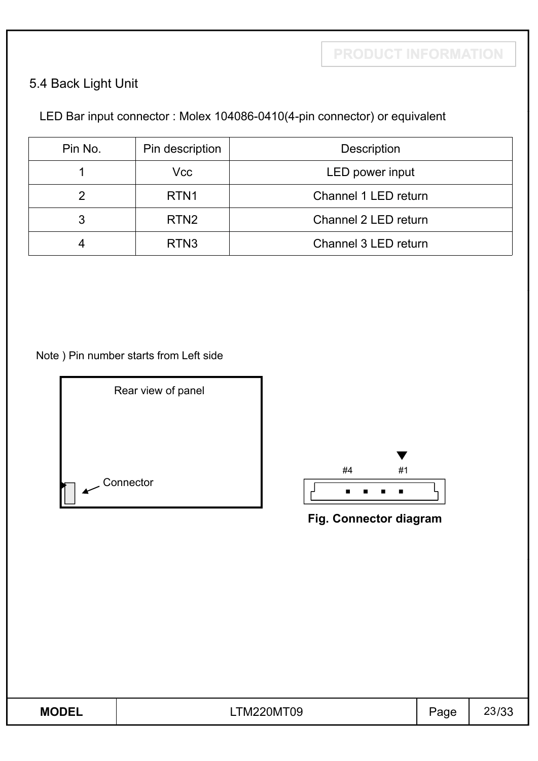$\blacksquare$ 

## 5.4 Back Light Unit

## LED Bar input connector : Molex 104086-0410(4-pin connector) or equivalent

| Pin No. | Pin description  | <b>Description</b>   |
|---------|------------------|----------------------|
|         | Vcc              | LED power input      |
|         | RTN <sub>1</sub> | Channel 1 LED return |
| 3       | RTN <sub>2</sub> | Channel 2 LED return |
| 4       | RTN <sub>3</sub> | Channel 3 LED return |

Note ) Pin number starts from Left side



| <b>MODEL</b> | <b>LTM220MT09</b> | $\mathsf{p}_{\text{age}}$ | 23/33 |
|--------------|-------------------|---------------------------|-------|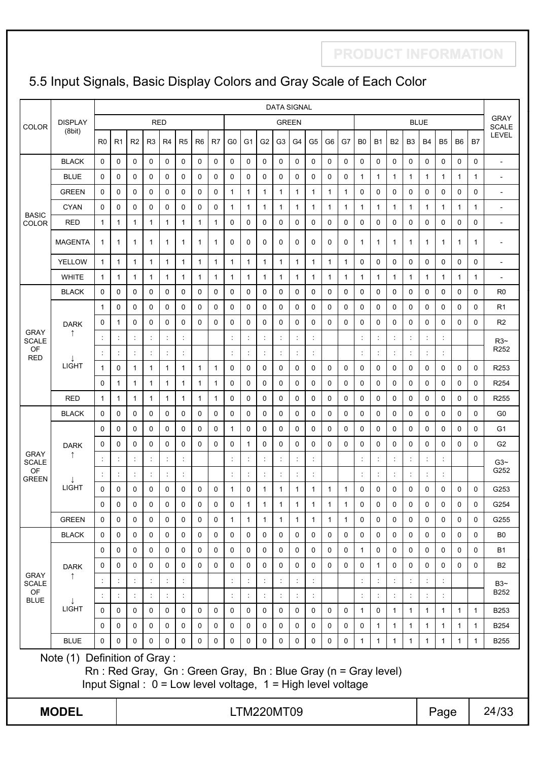## 5.5 Input Signals, Basic Display Colors and Gray Scale of Each Color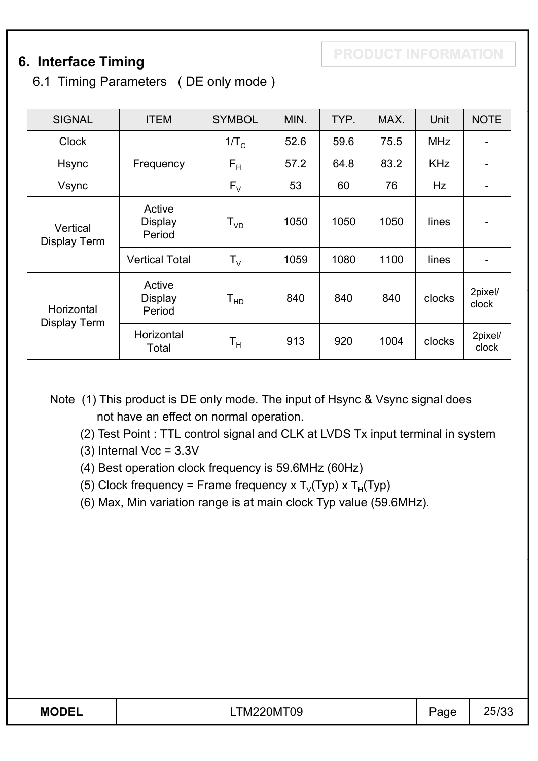## **6. Interface Timing**

6.1 Timing Parameters ( DE only mode )

| <b>SIGNAL</b>              | <b>ITEM</b>                        | <b>SYMBOL</b>    | MIN. | TYP. | MAX. | Unit       | <b>NOTE</b>                  |
|----------------------------|------------------------------------|------------------|------|------|------|------------|------------------------------|
| <b>Clock</b>               |                                    | 1/T <sub>c</sub> | 52.6 | 59.6 | 75.5 | <b>MHz</b> | $\qquad \qquad$              |
| Hsync                      | Frequency                          | $F_H$            | 57.2 | 64.8 | 83.2 | <b>KHz</b> |                              |
| Vsync                      |                                    | $F_{V}$          | 53   | 60   | 76   | Hz         |                              |
| Vertical<br>Display Term   | Active<br><b>Display</b><br>Period | $T_{VD}$         | 1050 | 1050 | 1050 | lines      | $\overline{\phantom{a}}$     |
|                            | <b>Vertical Total</b>              | $T_{\vee}$       | 1059 | 1080 | 1100 | lines      | $\qquad \qquad \blacksquare$ |
| Horizontal<br>Display Term | Active<br><b>Display</b><br>Period | $T_{HD}$         | 840  | 840  | 840  | clocks     | 2pixel/<br>clock             |
|                            | Horizontal<br>Total                | T <sub>н</sub>   | 913  | 920  | 1004 | clocks     | 2pixel/<br>clock             |

Note (1) This product is DE only mode. The input of Hsync & Vsync signal does not have an effect on normal operation.

(2) Test Point : TTL control signal and CLK at LVDS Tx input terminal in system

 $(3)$  Internal Vcc =  $3.3V$ 

- (4) Best operation clock frequency is 59 6MHz (60Hz) (4) Best operation clock frequency is 59.6MHz
- (5) Clock frequency = Frame frequency x  $T_v(Typ)$  x  $T_H(Typ)$
- (6) Max, Min variation range is at main clock Typ value (59.6MHz).

| <b>MODE!</b> | 'M<br>)M<br>-09 | ີ | りへ |
|--------------|-----------------|---|----|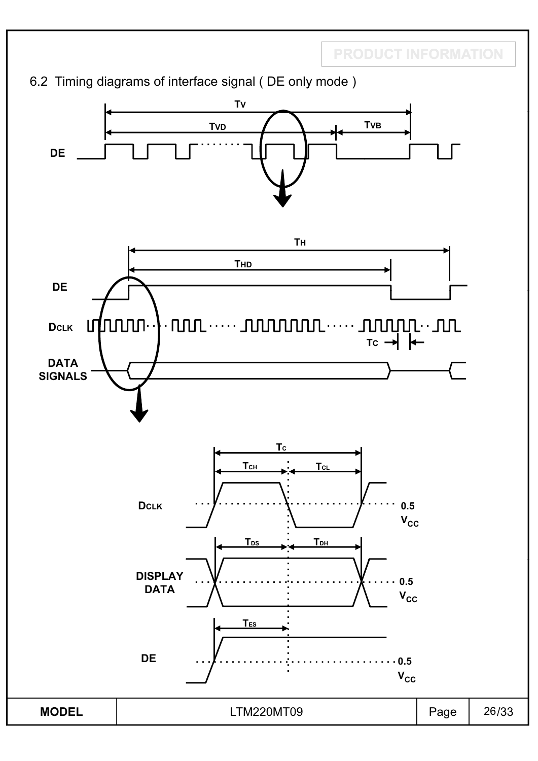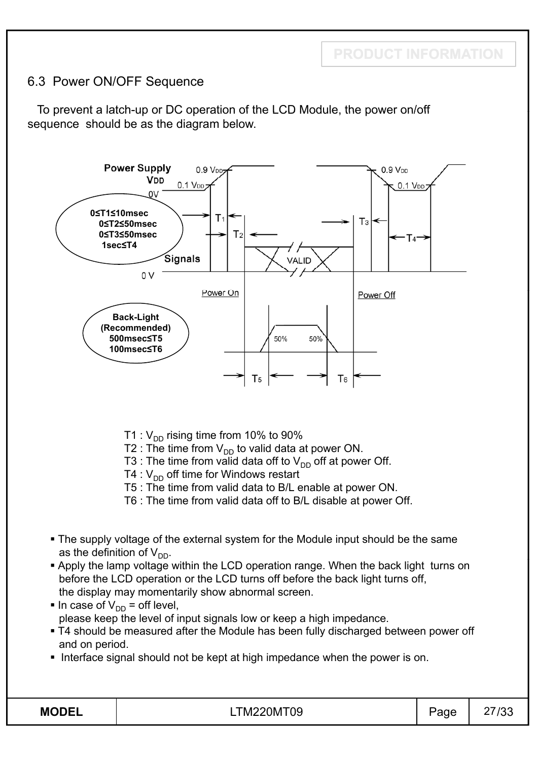## 6.3 Power ON/OFF Sequence

To prevent a latch-up or DC operation of the LCD Module, the power on/off sequence should be as the diagram below.



- T1 :  $V_{DD}$  rising time from 10% to 90%
- T2 : The time from  $V_{DD}$  to valid data at power ON.
- T3 : The time from valid data off to  $V_{DD}$  off at power Off.
- T4 :  $V_{DD}$  off time for Windows restart
- T5 : The time from valid data to B/L enable at power ON.
- T6 : The time from valid data off to B/L disable at power Off.
- The supply voltage of the external system for the Module input should be the same as the definition of  $V_{DD}$ .
- **Apply the lamp voltage within the LCD operation range. When the back light turns on** before the LCD operation or the LCD turns off before the back light turns off, the display may momentarily show abnormal screen.
- In case of  $V_{DD}$  = off level, please keep the level of input signals low or keep a high impedance.
- T4 should be measured after the Module has been fully discharged between power off and on period.
- Interface signal should not be kept at high impedance when the power is on.

| м<br>I)<br>۱۱<br>O<br>D |
|-------------------------|
|-------------------------|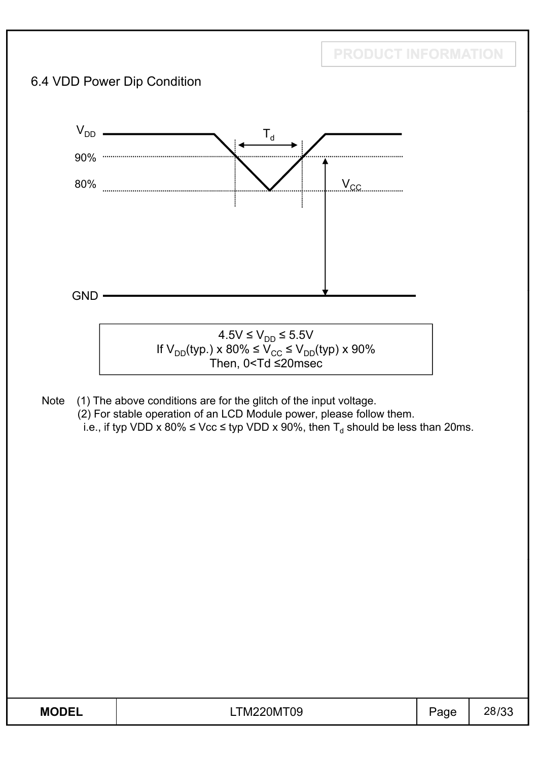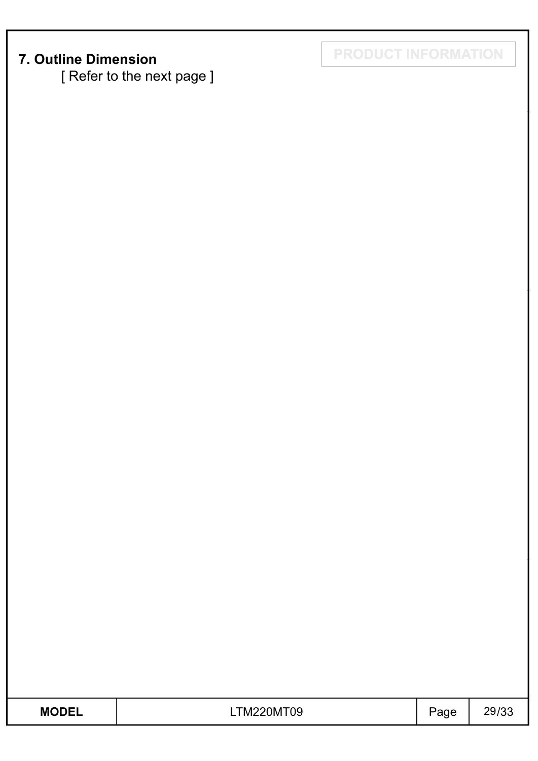[ Refer to the next page ]

**7. Outline Dimension PRODUCT INFORMATION** 

| <b>MODEL</b> | TM220MT09 | $\mathsf{p}_{\text{age}}$ | 29/33 |
|--------------|-----------|---------------------------|-------|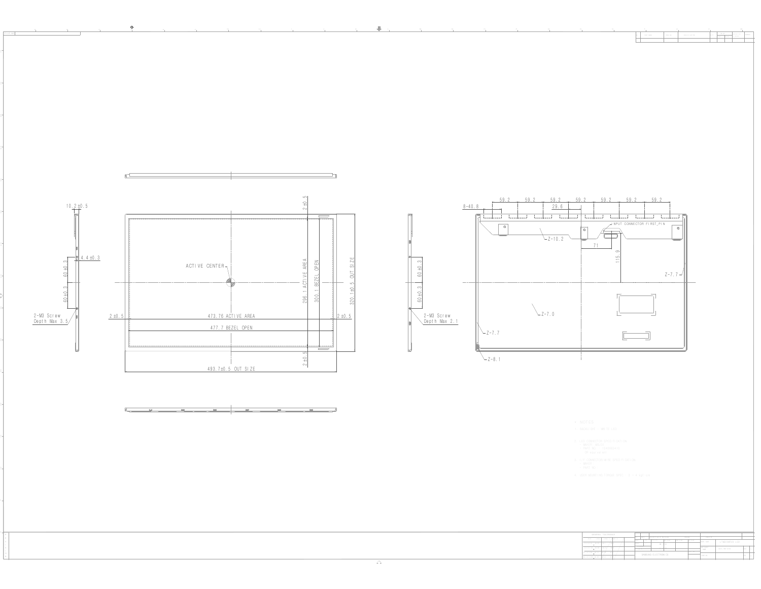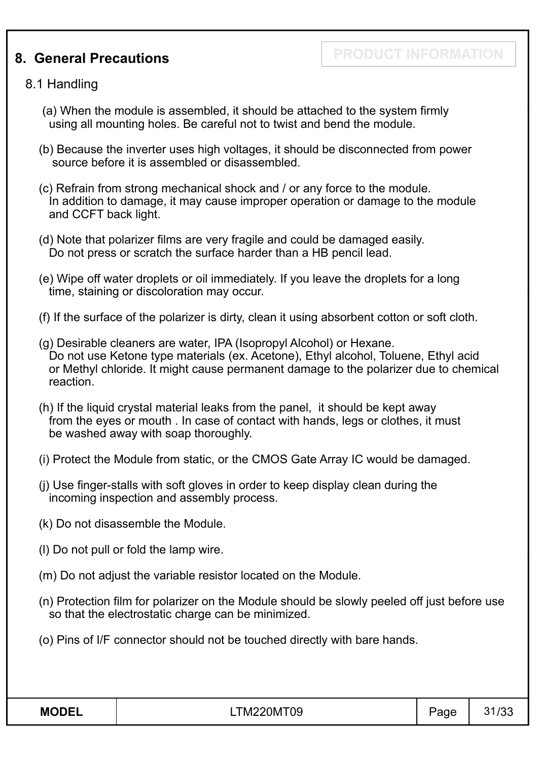## **8. General Precautions**

**PRODUCT INFORMATION**

#### 8.1 Handling

- (a) When the module is assembled, it should be attached to the system firmly using all mounting holes. Be careful not to twist and bend the module.
- (b) Because the inverter uses high voltages, it should be disconnected from power source before it is assembled or disassembled.
- (c) Refrain from strong mechanical shock and / or any force to the module. In addition to damage, it may cause improper operation or damage to the module and CCFT back light.
- (d) Note that polarizer films are very fragile and could be damaged easily. Do not press or scratch the surface harder than a HB pencil lead.
- (e) Wipe off water droplets or oil immediately. If you leave the droplets for a long time, staining or discoloration may occur.
- (f) If the surface of the polarizer is dirty, clean it using absorbent cotton or soft cloth.
- (g) Desirable cleaners are water, IPA (Isopropyl Alcohol) or Hexane. Do not use Ketone type materials (ex. Acetone), Ethyl alcohol, Toluene, Ethyl acid or Methyl chloride. It might cause permanent damage to the polarizer due to chemical reaction.
- (h) If the liquid crystal material leaks from the panel, it should be kept away from the eyes or mouth . In case of contact with hands, legs or clothes, it must be washed away with soap thoroughly.
- (i) Protect the Module from static, or the CMOS Gate Array IC would be damaged.
- (j) Use finger-stalls with soft gloves in order to keep display clean during the incoming inspection and assembly process.
- (k) Do not disassemble the Module.
- (l) Do not pull or fold the lamp wire.
- (m) Do not adjust the variable resistor located on the Module.
- (n) Protection film for polarizer on the Module should be slowly peeled off just before use so that the electrostatic charge can be minimized.
- (o) Pins of I/F connector should not be touched directly with bare hands.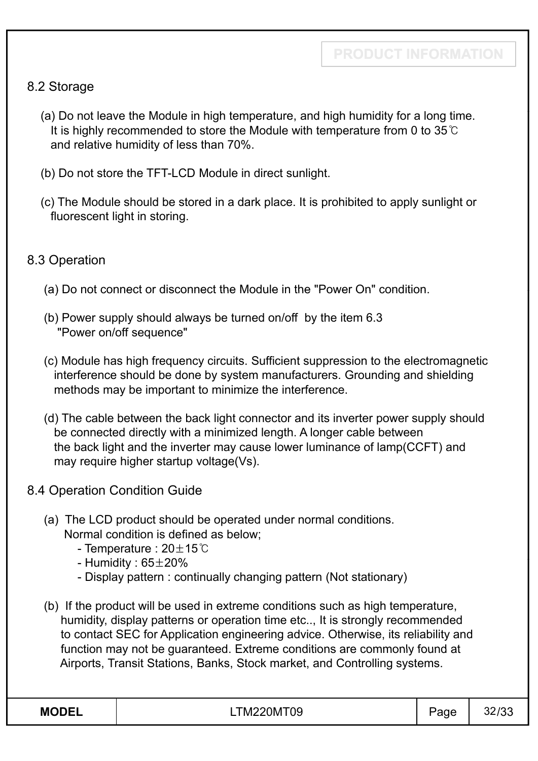### 8.2 Storage

- (a) Do not leave the Module in high temperature, and high humidity for a long time. It is highly recommended to store the Module with temperature from 0 to  $35^{\circ}$ C and relative humidity of less than 70%.
- (b) Do not store the TFT-LCD Module in direct sunlight.
- (c) The Module should be stored in a dark place. It is prohibited to apply sunlight or fluorescent light in storing.

### 8.3 Operation

- (a) Do not connect or disconnect the Module in the "Power On" condition.
- (b) Power supply should always be turned on/off by the item 6.3 "Power on/off sequence"
- (c) Module has high frequency circuits. Sufficient suppression to the electromagnetic interference should be done by system manufacturers. Grounding and shielding methods may be important to minimize the interference.
- (d) The cable between the back light connector and its inverter power supply should be connected directly with a minimized length. A longer cable between the back light and the inverter may cause lower luminance of lamp(CCFT) and may require higher startup voltage(Vs).
- 8.4 Operation Condition Guide
	- (a) The LCD product should be operated under normal conditions. Normal condition is defined as below;
		- Temperature :  $20\pm15^{\circ}$ C
		- Humidity :  $65\pm20\%$
		- Display pattern : continually changing pattern (Not stationary)
	- (b) If the product will be used in extreme conditions such as high temperature, humidity, display patterns or operation time etc.., It is strongly recommended to contact SEC for Application engineering advice. Otherwise, its reliability and function may not be guaranteed. Extreme conditions are commonly found at Airports, Transit Stations, Banks, Stock market, and Controlling systems.

| <b>MODEL</b> | <b>TM220MT09</b> | Page | 32/33 |
|--------------|------------------|------|-------|
|--------------|------------------|------|-------|